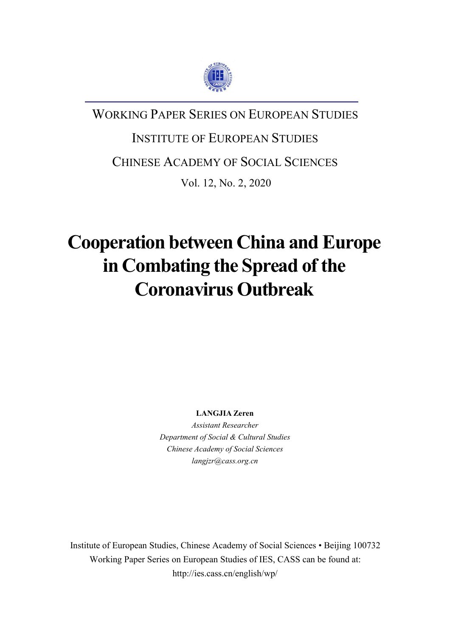

# WORKING PAPER SERIES ON EUROPEAN STUDIES

# INSTITUTE OF EUROPEAN STUDIES

## CHINESE ACADEMY OF SOCIAL SCIENCES

Vol. 12, No. 2, 2020

# **Cooperation between China and Europe in Combating the Spread of the Coronavirus Outbreak**

**LANGJIA Zeren**

*Assistant Researcher Department of Social & Cultural Studies Chinese Academy of Social Sciences langjzr@cass.org.cn*

Institute of European Studies, Chinese Academy of Social Sciences • Beijing 100732 Working Paper Series on European Studies of IES, CASS can be found at: http://ies.cass.cn/english/wp/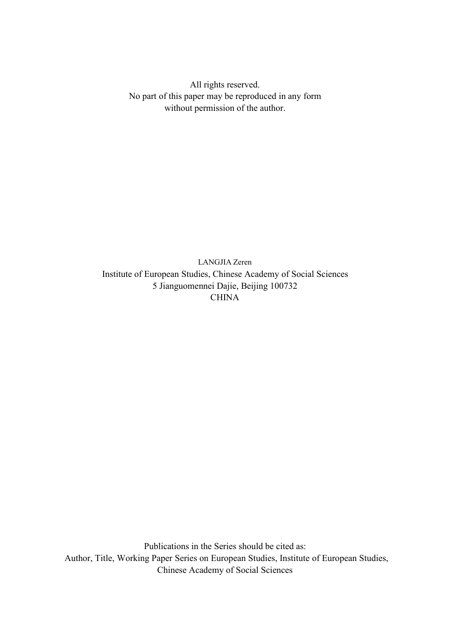All rights reserved. No part of this paper may be reproduced in any form without permission of the author.

LANGJIA Zeren Institute of European Studies, Chinese Academy of Social Sciences 5 Jianguomennei Dajie, Beijing 100732 **CHINA** 

Publications in the Series should be cited as: Author, Title, Working Paper Series on European Studies, Institute of European Studies, Chinese Academy of Social Sciences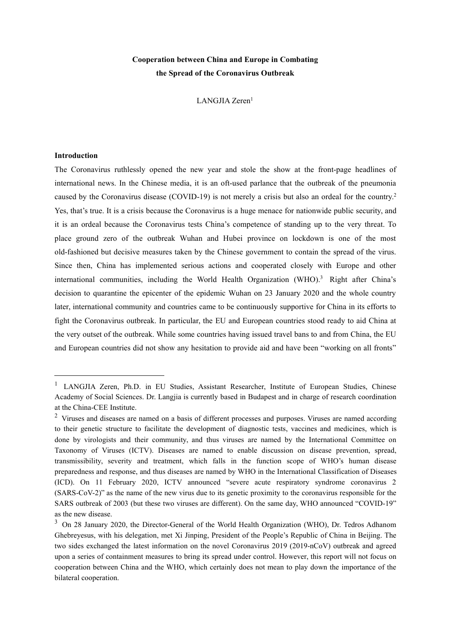## **Cooperation between China and Europe in Combating the Spread of the Coronavirus Outbreak**

LANGJIA Zeren [1](#page-2-0)

### **Introduction**

The Coronavirus ruthlessly opened the new year and stole the show at the front-page headlines of international news. In the Chinese media, it is an oft-used parlance that the outbreak of the pneumonia caused by the Coronavirus disease (COVID-19) is not merely a crisis but also an ordeal for the country.[2](#page-2-1) Yes, that's true. It is a crisis because the Coronavirus is a huge menace for nationwide public security, and it is an ordeal because the Coronavirus tests China's competence of standing up to the very threat. To place ground zero of the outbreak Wuhan and Hubei province on lockdown is one of the most old-fashioned but decisive measures taken by the Chinese government to contain the spread of the virus. Since then, China has implemented serious actions and cooperated closely with Europe and other international communities, including the World Health Organization (WHO).<sup>[3](#page-2-2)</sup> Right after China's decision to quarantine the epicenter of the epidemic Wuhan on 23 January 2020 and the whole country later, international community and countries came to be continuously supportive for China in its efforts to fight the Coronavirus outbreak. In particular, the EU and European countries stood ready to aid China at the very outset of the outbreak. While some countries having issued travel bans to and from China, the EU and European countries did not show any hesitation to provide aid and have been "working on all fronts"

<span id="page-2-0"></span><sup>&</sup>lt;sup>1</sup> LANGJIA Zeren, Ph.D. in EU Studies, Assistant Researcher, Institute of European Studies, Chinese Academy of Social Sciences. Dr. Langjia is currently based in Budapest and in charge of research coordination at the China-CEE Institute.

<span id="page-2-1"></span><sup>&</sup>lt;sup>2</sup> Viruses and diseases are named on a basis of different processes and purposes. Viruses are named according to their genetic structure to facilitate the development of diagnostic tests, vaccines and medicines, which is done by virologists and their community, and thus viruses are named by the International Committee on Taxonomy of Viruses (ICTV). Diseases are named to enable discussion on disease prevention, spread, transmissibility, severity and treatment, which falls in the function scope of WHO's human disease preparedness and response, and thus diseases are named by WHO in the International Classification of Diseases (ICD). On 11 February 2020, ICTV announced "severe acute respiratory syndrome coronavirus 2 (SARS-CoV-2)" as the name of the new virus due to its genetic proximity to the coronavirus responsible for the SARS outbreak of 2003 (but these two viruses are different). On the same day, WHO announced "COVID-19" as the new disease.

<span id="page-2-2"></span><sup>3</sup> On 28 January 2020, the Director-General of the World Health Organization (WHO), Dr. Tedros Adhanom Ghebreyesus, with his delegation, met Xi Jinping, President of the People's Republic of China in Beijing. The two sides exchanged the latest information on the novel Coronavirus 2019 (2019-nCoV) outbreak and agreed upon a series of containment measures to bring its spread under control. However, this report will not focus on cooperation between China and the WHO, which certainly does not mean to play down the importance of the bilateral cooperation.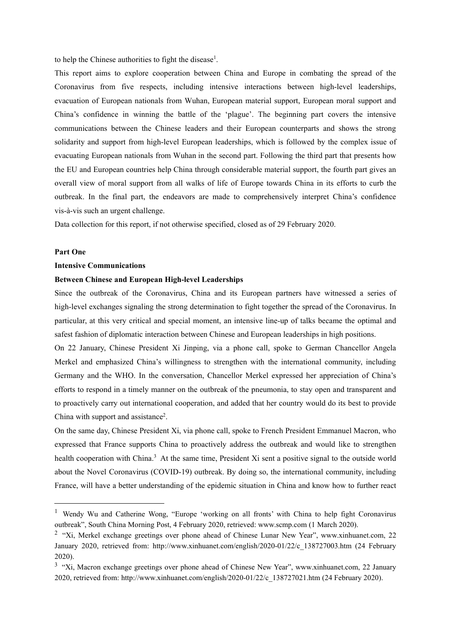to help the Chinese authorities to fight the disease [1](#page-3-0) .

This report aims to explore cooperation between China and Europe in combating the spread of the Coronavirus from five respects, including intensive interactions between high-level leaderships, evacuation of European nationals from Wuhan, European material support, European moral support and China's confidence in winning the battle of the 'plague'. The beginning part covers the intensive communications between the Chinese leaders and their European counterparts and shows the strong solidarity and support from high-level European leaderships, which is followed by the complex issue of evacuating European nationals from Wuhan in the second part. Following the third part that presents how the EU and European countries help China through considerable material support, the fourth part gives an overall view of moral support from all walks of life of Europe towards China in its efforts to curb the outbreak. In the final part, the endeavors are made to comprehensively interpret China's confidence vis-à-vis such an urgent challenge.

Data collection for this report, if not otherwise specified, closed as of 29 February 2020.

#### **Part One**

#### **Intensive Communications**

#### **Between Chinese and European High-level Leaderships**

Since the outbreak of the Coronavirus, China and its European partners have witnessed a series of high-level exchanges signaling the strong determination to fight together the spread of the Coronavirus. In particular, at this very critical and special moment, an intensive line-up of talks became the optimal and safest fashion of diplomatic interaction between Chinese and European leaderships in high positions.

On 22 January, Chinese President Xi Jinping, via a phone call, spoke to German Chancellor Angela Merkel and emphasized China's willingness to strengthen with the international community, including Germany and the WHO. In the conversation, Chancellor Merkel expressed her appreciation of China's efforts to respond in a timely manner on the outbreak of the pneumonia, to stay open and transparent and to proactively carry out international cooperation, and added that her country would do its best to provide China with support and assistance [2](#page-3-1) .

On the same day, Chinese President Xi, via phone call, spoke to French President Emmanuel Macron, who expressed that France supports China to proactively address the outbreak and would like to strengthen health cooperation with China.<sup>[3](#page-3-2)</sup> At the same time, President Xi sent a positive signal to the outside world about the Novel Coronavirus (COVID-19) outbreak. By doing so, the international community, including France, will have a better understanding of the epidemic situation in China and know how to further react

<span id="page-3-0"></span><sup>&</sup>lt;sup>1</sup> Wendy Wu and Catherine Wong, "Europe 'working on all fronts' with China to help fight Coronavirus outbreak", South China Morning Post, 4 February 2020, retrieved: www.scmp.com (1 March 2020).

<span id="page-3-1"></span><sup>&</sup>lt;sup>2</sup> "Xi, Merkel exchange greetings over phone ahead of Chinese Lunar New Year", www.xinhuanet.com, 22 January 2020, retrieved from: http://www.xinhuanet.com/english/2020-01/22/c\_138727003.htm (24 February 2020).

<span id="page-3-2"></span><sup>&</sup>lt;sup>3</sup> "Xi, Macron exchange greetings over phone ahead of Chinese New Year", www.xinhuanet.com, 22 January 2020, retrieved from: http://www.xinhuanet.com/english/2020-01/22/c\_138727021.htm (24 February 2020).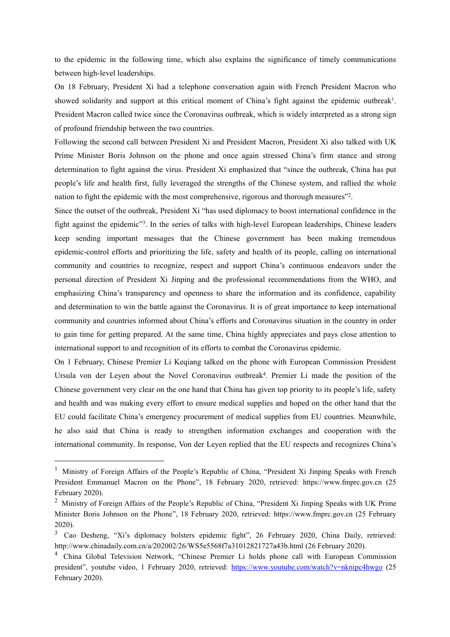to the epidemic in the following time, which also explains the significance of timely communications between high-level leaderships.

On 18 February, President Xi had a telephone conversation again with French President Macron who showed solidarity and support at this critical moment of China's fight against the epidemic outbreak<sup>[1](#page-4-0)</sup>. . President Macron called twice since the Coronavirus outbreak, which is widely interpreted as a strong sign of profound friendship between the two countries.

Following the second call between President Xi and President Macron, President Xi also talked with UK Prime Minister Boris Johnson on the phone and once again stressed China's firm stance and strong determination to fight against the virus. President Xi emphasized that "since the outbreak, China has put people's life and health first, fully leveraged the strengths of the Chinese system, and rallied the whole nation to fight the epidemic with the most comprehensive, rigorous and thorough measures"<sup>[2](#page-4-1)</sup>. .

Since the outset of the outbreak, President Xi "has used diplomacy to boost international confidence in the fight against the epidemic"<sup>[3](#page-4-2)</sup>. In the series of talks with high-level European leaderships, Chinese leaders keep sending important messages that the Chinese government has been making tremendous epidemic-control efforts and prioritizing the life, safety and health of its people, calling on international community and countries to recognize, respect and support China's continuous endeavors under the personal direction of President Xi Jinping and the professional recommendations from the WHO, and emphasizing China's transparency and openness to share the information and its confidence, capability and determination to win the battle against the Coronavirus. It is of great importance to keep international community and countries informed about China's efforts and Coronavirus situation in the country in order to gain time for getting prepared. At the same time, China highly appreciates and pays close attention to international support to and recognition of its efforts to combat the Coronavirus epidemic.

On 1 February, Chinese Premier Li Keqiang talked on the phone with European Commission President Ursula von der Leyen about the Novel Coronavirus outbreak [4](#page-4-3) . Premier Li made the position of the Chinese government very clear on the one hand that China has given top priority to its people's life, safety and health and was making every effort to ensure medical supplies and hoped on the other hand that the EU could facilitate China's emergency procurement of medical supplies from EU countries. Meanwhile, he also said that China is ready to strengthen information exchanges and cooperation with the international community. In response, Von der Leyen replied that the EU respects and recognizes China's

<span id="page-4-0"></span><sup>&</sup>lt;sup>1</sup> Ministry of Foreign Affairs of the People's Republic of China, "President Xi Jinping Speaks with French President Emmanuel Macron on the Phone", 18 February 2020, retrieved: https://www.fmprc.gov.cn (25 February 2020).

<span id="page-4-1"></span><sup>&</sup>lt;sup>2</sup> Ministry of Foreign Affairs of the People's Republic of China, "President Xi Jinping Speaks with UK Prime Minister Boris Johnson on the Phone", 18 February 2020, retrieved: https://www.fmprc.gov.cn (25 February 2020).

<span id="page-4-2"></span><sup>&</sup>lt;sup>3</sup> Cao Desheng, "Xi's diplomacy bolsters epidemic fight", 26 February 2020, China Daily, retrieved: http://www.chinadaily.com.cn/a/202002/26/WS5e5568f7a31012821727a43b.html (26 February 2020).

<span id="page-4-3"></span><sup>4</sup> China Global Television Network, "Chinese Premier Li holds phone call with European Commission president", youtube video, 1 February 2020, retrieved: <https://www.youtube.com/watch?v=nknipc4hwgo> (25 February 2020).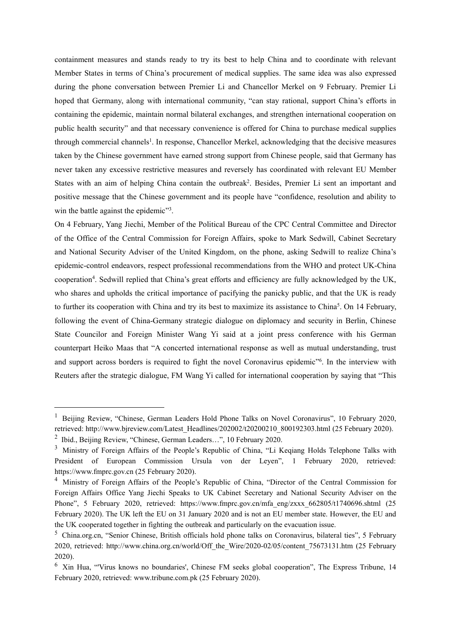containment measures and stands ready to try its best to help China and to coordinate with relevant Member States in terms of China's procurement of medical supplies. The same idea was also expressed during the phone conversation between Premier Li and Chancellor Merkel on 9 February. Premier Li hoped that Germany, along with international community, "can stay rational, support China's efforts in containing the epidemic, maintain normal bilateral exchanges, and strengthen international cooperation on public health security" and that necessary convenience is offered for China to purchase medical supplies through commercial channels [1](#page-5-0) . In response, Chancellor Merkel, acknowledging that the decisive measures taken by the Chinese government have earned strong support from Chinese people, said that Germany has never taken any excessive restrictive measures and reversely has coordinated with relevant EU Member States with an aim of helping China contain the outbreak<sup>[2](#page-5-1)</sup>. Besides, Premier Li sent an important and positive message that the Chinese government and its people have "confidence, resolution and ability to win the battle against the epidemic<sup>[3](#page-5-2)</sup>. .

On 4 February, Yang Jiechi, Member of the Political Bureau of the CPC Central Committee and Director of the Office of the Central Commission for Foreign Affairs, spoke to Mark Sedwill, Cabinet Secretary and National Security Adviser of the United Kingdom, on the phone, asking Sedwill to realize China's epidemic-control endeavors, respect professional recommendations from the WHO and protect UK-China cooperation [4](#page-5-3) . Sedwill replied that China's great efforts and efficiency are fully acknowledged by the UK, who shares and upholds the critical importance of pacifying the panicky public, and that the UK is ready to further its cooperation with China and try its best to maximize its assistance to China [5](#page-5-4) . On 14 February, following the event of China-Germany strategic dialogue on diplomacy and security in Berlin, Chinese State Councilor and Foreign Minister Wang Yi said at a joint press conference with his German counterpart Heiko Maas that "A concerted international response as well as mutual understanding, trust and support across borders is required to fight the novel Coronavirus epidemic" [6](#page-5-5) . In the interview with Reuters after the strategic dialogue, FM Wang Yi called for international cooperation by saying that "This

<span id="page-5-0"></span><sup>&</sup>lt;sup>1</sup> Beijing Review, "Chinese, German Leaders Hold Phone Talks on Novel Coronavirus", 10 February 2020, retrieved: http://www.bjreview.com/Latest\_Headlines/202002/t20200210\_800192303.html (25 February 2020).

<span id="page-5-1"></span><sup>&</sup>lt;sup>2</sup> Ibid., Beijing Review, "Chinese, German Leaders...", 10 February 2020.

<span id="page-5-2"></span><sup>&</sup>lt;sup>3</sup> Ministry of Foreign Affairs of the People's Republic of China, "Li Keqiang Holds Telephone Talks with President of European Commission Ursula von der Leyen", 1 February 2020, retrieved: https://www.fmprc.gov.cn (25 February 2020).

<span id="page-5-3"></span><sup>4</sup> Ministry of Foreign Affairs of the People's Republic of China, "Director of the Central Commission for Foreign Affairs Office Yang Jiechi Speaks to UK Cabinet Secretary and National Security Adviser on the Phone", 5 February 2020, retrieved: https://www.fmprc.gov.cn/mfa\_eng/zxxx\_662805/t1740696.shtml (25 February 2020). The UK left the EU on 31 January 2020 and is not an EU member state. However, the EU and the UK cooperated together in fighting the outbreak and particularly on the evacuation issue.

<span id="page-5-4"></span><sup>5</sup> China.org.cn, "Senior Chinese, British officials hold phone talks on Coronavirus, bilateral ties", 5 February 2020, retrieved: http://www.china.org.cn/world/Off\_the\_Wire/2020-02/05/content\_75673131.htm (25 February 2020).

<span id="page-5-5"></span><sup>&</sup>lt;sup>6</sup> Xin Hua, "Virus knows no boundaries', Chinese FM seeks global cooperation", The Express Tribune, 14 February 2020, retrieved: www.tribune.com.pk (25 February 2020).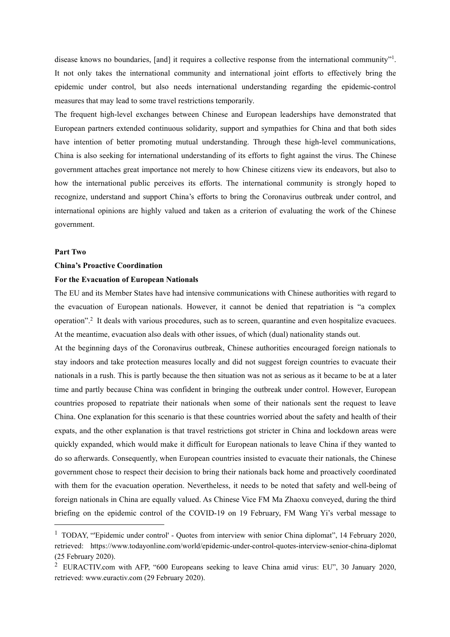disease knows no boundaries, [and] it requires a collective response from the international community"<sup>[1](#page-6-0)</sup>. . It not only takes the international community and international joint efforts to effectively bring the epidemic under control, but also needs international understanding regarding the epidemic-control measures that may lead to some travel restrictions temporarily.

The frequent high-level exchanges between Chinese and European leaderships have demonstrated that European partners extended continuous solidarity, support and sympathies for China and that both sides have intention of better promoting mutual understanding. Through these high-level communications, China is also seeking for international understanding of its efforts to fight against the virus. The Chinese government attaches great importance not merely to how Chinese citizens view its endeavors, but also to how the international public perceives its efforts. The international community is strongly hoped to recognize, understand and support China's efforts to bring the Coronavirus outbreak under control, and international opinions are highly valued and taken as a criterion of evaluating the work of the Chinese government.

#### **Part Two**

#### **China's Proactive Coordination**

#### **For the Evacuation of European Nationals**

The EU and its Member States have had intensive communications with Chinese authorities with regard to the evacuation of European nationals. However, it cannot be denied that repatriation is "a complex operation".[2](#page-6-1) It deals with various procedures, such as to screen, quarantine and even hospitalize evacuees. At the meantime, evacuation also deals with other issues, of which (dual) nationality stands out.

At the beginning days of the Coronavirus outbreak, Chinese authorities encouraged foreign nationals to stay indoors and take protection measures locally and did not suggest foreign countries to evacuate their nationals in a rush. This is partly because the then situation was not as serious as it became to be at a later time and partly because China was confident in bringing the outbreak under control. However, European countries proposed to repatriate their nationals when some of their nationals sent the request to leave China. One explanation for this scenario is that these countries worried about the safety and health of their expats, and the other explanation is that travel restrictions got stricter in China and lockdown areas were quickly expanded, which would make it difficult for European nationals to leave China if they wanted to do so afterwards.Consequently, when European countries insisted to evacuate theirnationals, the Chinese government chose to respect their decision to bring their nationals back home and proactively coordinated with them for the evacuation operation. Nevertheless, it needs to be noted that safety and well-being of foreign nationals in China are equally valued. As Chinese Vice FM Ma Zhaoxu conveyed, during the third briefing on the epidemic control of the COVID-19 on 19 February, FM Wang Yi's verbal message to

<span id="page-6-0"></span><sup>&</sup>lt;sup>1</sup> TODAY, "Epidemic under control' - Quotes from interview with senior China diplomat", 14 February 2020, retrieved: https://www.todayonline.com/world/epidemic-under-control-quotes-interview-senior-china-diplomat (25 February 2020).

<span id="page-6-1"></span><sup>2</sup> EURACTIV.com with AFP, "600 Europeans seeking to leave China amid virus: EU", 30 January 2020, retrieved: www.euractiv.com (29 February 2020).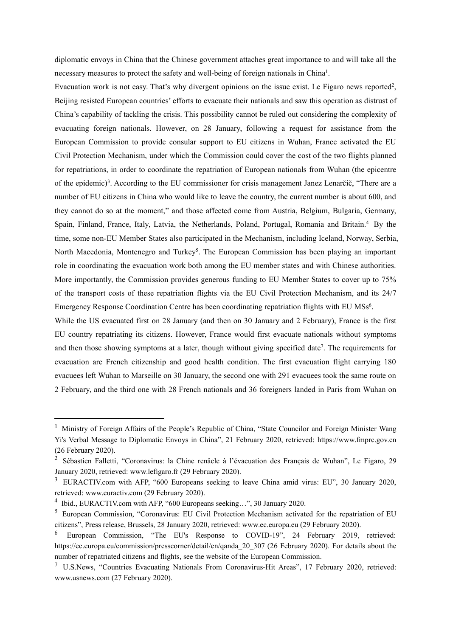diplomatic envoys in China that the Chinese government attaches great importance to and will take all the necessary measures to protect the safety and well-being of foreign nationals in China<sup>[1](#page-7-0)</sup>. .

Evacuation work is not easy. That's why divergent opinions on the issue exist. Le Figaro news reported<sup>[2](#page-7-1)</sup>,  $,$ Beijing resisted European countries' efforts to evacuate their nationals and saw this operation as distrust of China's capability of tackling the crisis. This possibility cannot be ruled out considering the complexity of evacuating foreign nationals. However, on 28 January, following a request for assistance from the European Commission to provide consular support to EU citizens in Wuhan, France activated the EU Civil Protection Mechanism, under which the Commission could cover the cost of the two flights planned for repatriations, in order to coordinate the repatriation of European nationals from Wuhan (the epicentre of the epidemic) [3](#page-7-2) . According to the EU commissioner forcrisis management Janez Lenarčič, "There are a number of EU citizens in China who would like to leave the country, the current number is about 600, and they cannot do so at the moment," and those affected come from Austria, Belgium, Bulgaria, Germany, Spain, Finland, France, Italy, Latvia, the Netherlands, Poland, Portugal, Romania and Britain.<sup>[4](#page-7-3)</sup> By the time, some non-EU Member States also participated in the Mechanism, including Iceland, Norway, Serbia, North Macedonia, Montenegro and Turkey [5](#page-7-4) . The European Commission has been playing an important role in coordinating the evacuation work both among the EU member states and with Chinese authorities. More importantly, the Commission provides generous funding to EU Member States to cover up to 75% of the transport costs of these repatriation flights via the EU Civil Protection Mechanism, and its 24/7 Emergency Response Coordination Centre has been coordinating repatriation flights with EU MSs [6](#page-7-5) .

While the US evacuated first on 28 January (and then on 30 January and 2 February), France is the first EU country repatriating its citizens. However, France would first evacuate nationals without symptoms and then those showing symptoms at a later, though without giving specified date [7](#page-7-6) . The requirements for evacuation are French citizenship and good health condition. The first evacuation flight carrying 180 evacuees left Wuhan to Marseille on 30 January, the second one with 291 evacuees took the same route on 2 February, and the third one with 28 French nationals and 36 foreigners landed in Paris from Wuhan on

<span id="page-7-0"></span><sup>&</sup>lt;sup>1</sup> Ministry of Foreign Affairs of the People's Republic of China, "State Councilor and Foreign Minister Wang Yi's Verbal Message to Diplomatic Envoys in China", 21 February 2020, retrieved: https://www.fmprc.gov.cn (26 February 2020).

<span id="page-7-1"></span><sup>&</sup>lt;sup>2</sup> Sébastien Falletti, "Coronavirus: la Chine renâcle à l'évacuation des Français de Wuhan", Le Figaro, 29 January 2020, retrieved: www.lefigaro.fr (29 February 2020).

<span id="page-7-2"></span><sup>&</sup>lt;sup>3</sup> EURACTIV.com with AFP, "600 Europeans seeking to leave China amid virus: EU", 30 January 2020, retrieved: www.euractiv.com (29 February 2020).

<span id="page-7-3"></span><sup>&</sup>lt;sup>4</sup> Ibid., EURACTIV.com with AFP, "600 Europeans seeking...", 30 January 2020.

<span id="page-7-4"></span><sup>5</sup> European Commission, "Coronavirus: EU Civil Protection Mechanism activated for the repatriation of EU citizens", Press release, Brussels, 28 January 2020, retrieved: www.ec.europa.eu (29 February 2020).

<span id="page-7-5"></span><sup>6</sup> European Commission, "The EU's Response to COVID-19", 24 February 2019, retrieved: https://ec.europa.eu/commission/presscorner/detail/en/qanda\_20\_307 (26 February 2020). For details about the number of repatriated citizens and flights, see the website of the European Commission.

<span id="page-7-6"></span><sup>7</sup> U.S.News, "Countries Evacuating Nationals From Coronavirus-Hit Areas", 17 February 2020, retrieved: www.usnews.com (27 February 2020).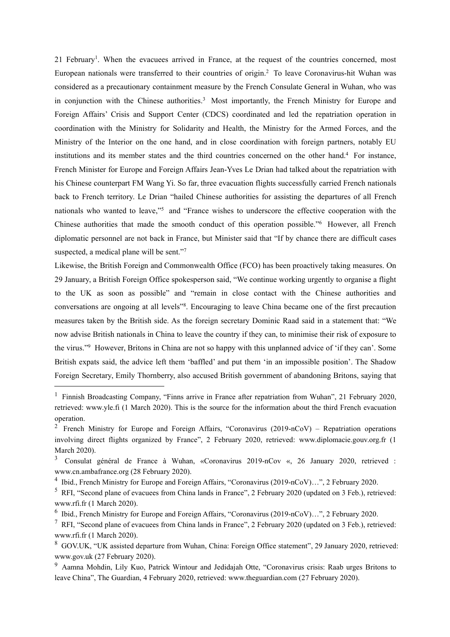21 February [1](#page-8-0) . When the evacuees arrived in France, at the request of the countries concerned, most European nationals were transferred to their countries of origin.[2](#page-8-1) To leave Coronavirus-hit Wuhan was considered as a precautionary containment measure by the French Consulate General in Wuhan, who was in conjunction with the Chinese authorities.<sup>[3](#page-8-2)</sup> Most importantly, the French Ministry for Europe and Foreign Affairs' Crisis and Support Center (CDCS) coordinated and led the repatriation operation in coordination with the Ministry for Solidarity and Health, the Ministry for the Armed Forces, and the Ministry of the Interior on the one hand, and in close coordination with foreign partners, notably EU institutions and its member states and the third countries concerned on the other hand.[4](#page-8-3) For instance, French Minister for Europe and Foreign Affairs Jean-Yves Le Drian had talked about the repatriation with his Chinese counterpart FM Wang Yi. So far, three evacuation flights successfully carried French nationals back to French territory. Le Drian "hailed Chinese authorities for assisting the departures of all French nationals who wanted to leave," [5](#page-8-4) and "France wishes to underscore the effective cooperation with the Chinese authorities that made the smooth conduct of this operation possible." [6](#page-8-5) However, all French diplomatic personnel are not back in France, but Minister said that "If by chance there are difficult cases suspected, a medical plane will be sent."7 [7](#page-8-6)

Likewise, the British Foreign and Commonwealth Office (FCO) has been proactively taking measures. On 29 January, a British Foreign Office spokesperson said, "We continue working urgently to organise a flight to the UK as soon as possible" and "remain in close contact with the Chinese authorities and conversations are ongoing at all levels" [8](#page-8-7) . Encouraging to leave China became one of the first precaution measures taken by the British side. As the foreign secretary Dominic Raad said in a statement that: "We now advise British nationals in China to leave the country if they can, to minimise their risk of exposure to the virus."<sup>[9](#page-8-8)</sup> However, Britons in China are not so happy with this unplanned advice of 'if they can'. Some British expats said, the advice left them 'baffled' and put them 'in an impossible position'. The Shadow Foreign Secretary, Emily Thornberry, also accused British government of abandoning Britons, saying that

<span id="page-8-0"></span><sup>&</sup>lt;sup>1</sup> Finnish Broadcasting Company, "Finns arrive in France after repatriation from Wuhan", 21 February 2020, retrieved: www.yle.fi (1 March 2020). This is the source for the information about the third French evacuation operation.

<span id="page-8-1"></span><sup>&</sup>lt;sup>2</sup> French Ministry for Europe and Foreign Affairs, "Coronavirus (2019-nCoV) – Repatriation operations involving direct flights organized by France", 2 February 2020, retrieved: www.diplomacie.gouv.org.fr (1 March 2020).

<span id="page-8-2"></span><sup>&</sup>lt;sup>3</sup> Consulat général de France à Wuhan, «Coronavirus 2019-nCov «, 26 January 2020, retrieved : www.cn.ambafrance.org (28 February 2020).

<span id="page-8-3"></span><sup>4</sup> Ibid., French Ministry for Europe and Foreign Affairs, "Coronavirus (2019-nCoV)…", 2 February 2020.

<span id="page-8-4"></span><sup>5</sup> RFI, "Second plane of evacuees from China lands in France", 2 February 2020 (updated on 3 Feb.), retrieved: www.rfi.fr (1 March 2020).

<span id="page-8-5"></span><sup>6</sup> Ibid., French Ministry for Europe and Foreign Affairs, "Coronavirus (2019-nCoV)…", 2 February 2020.

<span id="page-8-6"></span><sup>7</sup> RFI, "Second plane of evacuees from China lands in France", 2 February 2020 (updated on 3 Feb.), retrieved: www.rfi.fr (1 March 2020).

<span id="page-8-7"></span><sup>8</sup> GOV.UK, "UK assisted departure from Wuhan, China: Foreign Office statement", 29 January 2020, retrieved: www.gov.uk (27 February 2020).

<span id="page-8-8"></span><sup>9</sup> Aamna Mohdin, Lily Kuo, Patrick Wintour and Jedidajah Otte, "Coronavirus crisis: Raab urges Britons to leave China", The Guardian, 4 February 2020, retrieved: www.theguardian.com (27 February 2020).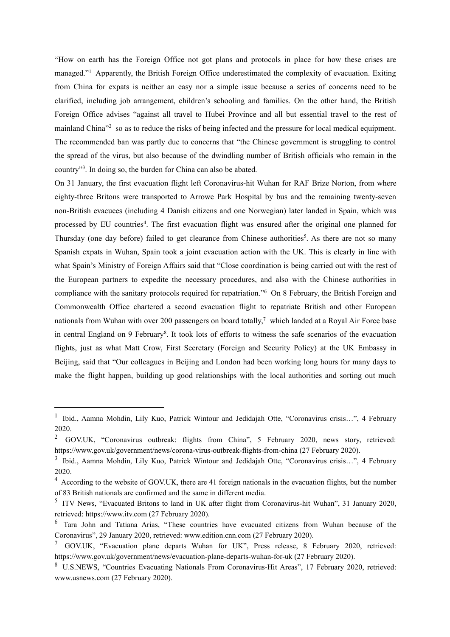"How on earth has the Foreign Office not got plans and protocols in place for how these crises are managed." [1](#page-9-0) Apparently, the British Foreign Office underestimated the complexity of evacuation. Exiting from China for expatsis neither an easy nor a simple issue because a series of concerns need to be clarified, including job arrangement, children's schooling and families. On the other hand, the British Foreign Office advises "against all travel to Hubei Province and all but essential travel to the rest of mainland China<sup>3[2](#page-9-1)</sup> so as to reduce the risks of being infected and the pressure for local medical equipment. The recommended ban was partly due to concerns that "the Chinese government is struggling to control the spread of the virus, but also because of the dwindling number of British officials who remain in the country" [3](#page-9-2) . In doing so, the burden for China can also be abated.

On 31 January, the first evacuation flight left Coronavirus-hit Wuhan for RAF Brize Norton, from where eighty-three Britons were transported to Arrowe Park Hospital by bus and the remaining twenty-seven non-British evacuees (including 4 Danish citizens and one Norwegian) later landed in Spain, which was processed by EU countries [4](#page-9-3) . The first evacuation flight was ensured after the original one planned for Thursday (one day before) failed to get clearance from Chinese authorities [5](#page-9-4) . As there are not so many Spanish expats in Wuhan, Spain took a joint evacuation action with the UK. This is clearly in line with what Spain's Ministry of Foreign Affairs said that "Close coordination is being carried out with the rest of the European partners to expedite the necessary procedures, and also with the Chinese authorities in compliance with the sanitary protocols required for repatriation." [6](#page-9-5) On 8 February, the British Foreign and Commonwealth Office chartered a second evacuation flight to repatriate British and other European nationals from Wuhan with over 200 passengers on board totally,<sup>[7](#page-9-6)</sup> which landed at a Royal Air Force base in central England on 9 February [8](#page-9-7) . It took lots of efforts to witness the safe scenarios of the evacuation flights, just as what Matt Crow, First Secretary (Foreign and Security Policy) at the UK Embassy in Beijing, said that "Our colleagues in Beijing and London had been working long hours for many days to make the flight happen, building up good relationships with the local authorities and sorting out much

<span id="page-9-0"></span><sup>&</sup>lt;sup>1</sup> Ibid., Aamna Mohdin, Lily Kuo, Patrick Wintour and Jedidajah Otte, "Coronavirus crisis...", 4 February 2020.

<span id="page-9-1"></span><sup>&</sup>lt;sup>2</sup> GOV.UK, "Coronavirus outbreak: flights from China", 5 February 2020, news story, retrieved: https://www.gov.uk/government/news/corona-virus-outbreak-flights-from-china (27 February 2020).

<span id="page-9-2"></span><sup>&</sup>lt;sup>3</sup> Ibid., Aamna Mohdin, Lily Kuo, Patrick Wintour and Jedidajah Otte, "Coronavirus crisis...", 4 February 2020.

<span id="page-9-3"></span><sup>4</sup> According to the website of GOV.UK, there are 41 foreign nationals in the evacuation flights, but the number of 83 British nationals are confirmed and the same in different media.

<span id="page-9-4"></span><sup>&</sup>lt;sup>5</sup> ITV News, "Evacuated Britons to land in UK after flight from Coronavirus-hit Wuhan", 31 January 2020, retrieved: https://www.itv.com (27 February 2020).

<span id="page-9-5"></span><sup>6</sup> Tara John and Tatiana Arias, "These countries have evacuated citizens from Wuhan because of the Coronavirus", 29 January 2020, retrieved: www.edition.cnn.com (27 February 2020).

<span id="page-9-6"></span> $\frac{7}{10}$  GOV.UK, "Evacuation plane departs Wuhan for UK", Press release, 8 February 2020, retrieved: https://www.gov.uk/government/news/evacuation-plane-departs-wuhan-for-uk (27 February 2020).

<span id="page-9-7"></span><sup>8</sup> U.S.NEWS, "Countries Evacuating Nationals From Coronavirus-Hit Areas", 17 February 2020, retrieved: www.usnews.com (27 February 2020).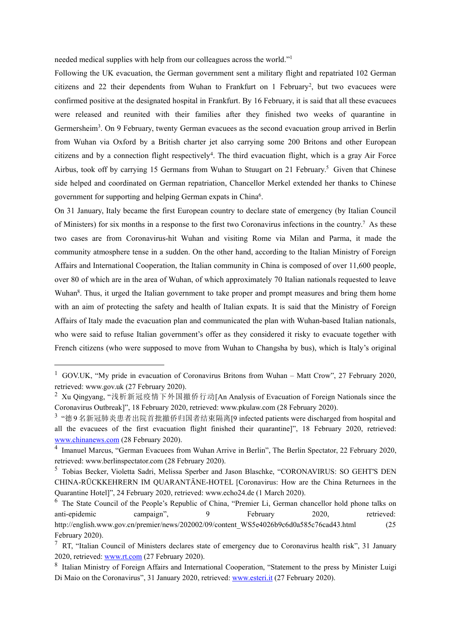needed medical supplies with help from our colleagues across the world." [1](#page-10-0)

Following the UK evacuation, the German government sent a military flight and repatriated 102 German citizens and [2](#page-10-1)2 their dependents from Wuhan to Frankfurt on 1 February<sup>2</sup>, but two evacuees were confirmed positive at the designated hospital in Frankfurt. By 16 February, it is said that all these evacuees were released and reunited with their families after they finished two weeks of quarantine in Germersheim<sup>[3](#page-10-2)</sup>. On 9 February, twenty German evacuees as the second evacuation group arrived in Berlin from Wuhan via Oxford by a British charter jet also carrying some 200 Britons and other European citizens and by a connection flight respectively [4](#page-10-3) . The third evacuation flight, which is a gray Air Force Airbus, took off by carrying 1[5](#page-10-4) Germans from Wuhan to Stuugart on 21 February.<sup>5</sup> Given that Chinese side helped and coordinated on German repatriation, Chancellor Merkel extended her thanks to Chinese government for supporting and helping German expats in China [6](#page-10-5) .

On 31 January, Italy became the first European country to declare state of emergency (by Italian Council of Ministers) for six months in a response to the first two Coronavirus infections in the country.[7](#page-10-6) As these two cases are from Coronavirus-hit Wuhan and visiting Rome via Milan and Parma, it made the community atmosphere tense in a sudden. On the other hand, according to the Italian Ministry of Foreign Affairs and International Cooperation, the Italian community in China is composed of over 11,600 people, over 80 of which are in the area of Wuhan, of which approximately 70 Italian nationals requested to leave Wuhan<sup>[8](#page-10-7)</sup>. Thus, it urged the Italian government to take proper and prompt measures and bring them home with an aim of protecting the safety and health of Italian expats. It is said that the Ministry of Foreign Affairs of Italy made the evacuation plan and communicated the plan with Wuhan-based Italian nationals, who were said to refuse Italian government's offer as they considered it risky to evacuate together with French citizens (who were supposed to move from Wuhan to Changsha by bus), which is Italy's original

<span id="page-10-0"></span><sup>&</sup>lt;sup>1</sup> GOV.UK, "My pride in evacuation of Coronavirus Britons from Wuhan – Matt Crow", 27 February 2020, retrieved: www.gov.uk (27 February 2020).

<span id="page-10-1"></span><sup>2</sup> Xu Qingyang, "浅析新冠疫情下外国撤侨行动[An Analysis of Evacuation of Foreign Nationals since the Coronavirus Outbreak]", 18 February 2020, retrieved: www.pkulaw.com (28 February 2020).

<span id="page-10-2"></span> $3$  "德9名新冠肺炎患者出院首批撤侨归国者结束隔离[9 infected patients were discharged from hospital and all the evacuees of the first evacuation flight finished their quarantine]", 18 February 2020, retrieved: [www.chinanews.com](http://www.chinanews.com) (28 February 2020).

<span id="page-10-3"></span><sup>&</sup>lt;sup>4</sup> Imanuel Marcus, "German Evacuees from Wuhan Arrive in Berlin", The Berlin Spectator, 22 February 2020, retrieved: www.berlinspectator.com (28 February 2020).

<span id="page-10-4"></span><sup>5</sup> Tobias Becker, Violetta Sadri, Melissa Sperber and Jason Blaschke, "CORONAVIRUS: SO GEHT'S DEN CHINA-RÜCKKEHRERN IM QUARANTÄNE-HOTEL [Coronavirus: How are the China Returnees in the Quarantine Hotel]", 24 February 2020, retrieved: www.echo24.de (1 March 2020).

<span id="page-10-5"></span><sup>&</sup>lt;sup>6</sup> The State Council of the People's Republic of China, "Premier Li, German chancellor hold phone talks on anti-epidemic campaign", 9 February 2020, retrieved: http://english.www.gov.cn/premier/news/202002/09/content\_WS5e4026b9c6d0a585c76cad43.html (25 February 2020).

<span id="page-10-6"></span><sup>&</sup>lt;sup>7</sup> RT, "Italian Council of Ministers declares state of emergency due to Coronavirus health risk", 31 January 2020, retrieved: [www.rt.com](http://www.rt.com) (27 February 2020).

<span id="page-10-7"></span><sup>&</sup>lt;sup>8</sup> Italian Ministry of Foreign Affairs and International Cooperation, "Statement to the press by Minister Luigi Di Maio on the Coronavirus", 31 January 2020, retrieved: [www.esteri.it](http://www.esteri.it) (27 February 2020).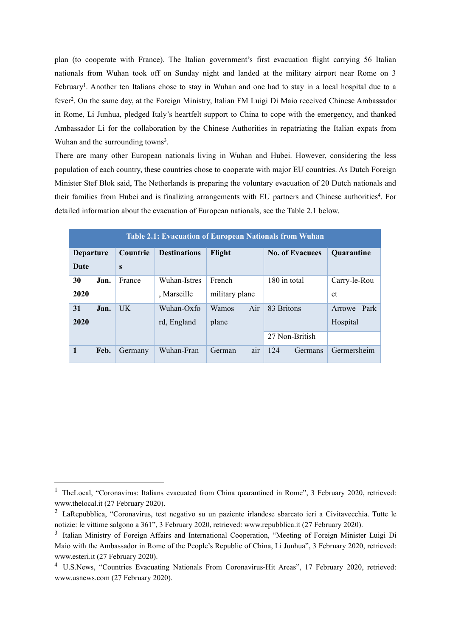plan (to cooperate with France). The Italian government's first evacuation flight carrying 56 Italian nationals from Wuhan took off on Sunday night and landed at the military airport near Rome on 3 February<sup>[1](#page-11-0)</sup>. Another ten Italians chose to stay in Wuhan and one had to stay in a local hospital due to a fever<sup>[2](#page-11-1)</sup>. On the same day, at the Foreign Ministry, Italian FM Luigi Di Maio received Chinese Ambassador in Rome, Li Junhua, pledged Italy's heartfelt support to China to cope with the emergency, and thanked Ambassador Li for the collaboration by the Chinese Authorities in repatriating the Italian expats from Wuhan and the surrounding towns<sup>[3](#page-11-2)</sup>. .

There are many other European nationals living in Wuhan and Hubei. However, considering the less population of each country, these countries chose to cooperate with major EU countries. As Dutch Foreign Minister Stef Blok said, The Netherlands is preparing the voluntary evacuation of 20 Dutch nationals and their families from Hubei and is finalizing arrangements with EU partners and Chinese authorities [4](#page-11-3) . For detailed information about the evacuation of European nationals, see the Table 2.1 below.

| <b>Table 2.1: Evacuation of European Nationals from Wuhan</b> |      |           |                     |                |                        |                   |  |  |  |  |  |
|---------------------------------------------------------------|------|-----------|---------------------|----------------|------------------------|-------------------|--|--|--|--|--|
| <b>Departure</b>                                              |      | Countrie  | <b>Destinations</b> | Flight         | <b>No. of Evacuees</b> | <b>Quarantine</b> |  |  |  |  |  |
| Date                                                          |      | S         |                     |                |                        |                   |  |  |  |  |  |
| 30                                                            | Jan. | France    | Wuhan-Istres        | French         | 180 in total           | Carry-le-Rou      |  |  |  |  |  |
| 2020                                                          |      |           | , Marseille         | military plane |                        | et                |  |  |  |  |  |
| 31                                                            | Jan. | <b>UK</b> | Wuhan-Oxfo          | Air<br>Wamos   | 83 Britons             | Arrowe Park       |  |  |  |  |  |
| 2020                                                          |      |           | rd, England         | plane          |                        | Hospital          |  |  |  |  |  |
|                                                               |      |           |                     |                | 27 Non-British         |                   |  |  |  |  |  |
| 1                                                             | Feb. | Germany   | Wuhan-Fran          | air<br>German  | 124<br>Germans         | Germersheim       |  |  |  |  |  |

<span id="page-11-0"></span><sup>&</sup>lt;sup>1</sup> TheLocal, "Coronavirus: Italians evacuated from China quarantined in Rome", 3 February 2020, retrieved: www.thelocal.it (27 February 2020).

<span id="page-11-1"></span><sup>2</sup> LaRepubblica, "Coronavirus, test negativo su un paziente irlandese sbarcato ieri a Civitavecchia. Tutte le notizie: le vittime salgono a 361", 3 February 2020, retrieved: www.repubblica.it (27 February 2020).

<span id="page-11-2"></span><sup>&</sup>lt;sup>3</sup> Italian Ministry of Foreign Affairs and International Cooperation, "Meeting of Foreign Minister Luigi Di Maio with the Ambassador in Rome of the People's Republic of China, Li Junhua", 3 February 2020, retrieved: www.esteri.it (27 February 2020).

<span id="page-11-3"></span><sup>4</sup> U.S.News, "Countries Evacuating Nationals From Coronavirus-Hit Areas", 17 February 2020, retrieved: www.usnews.com (27 February 2020).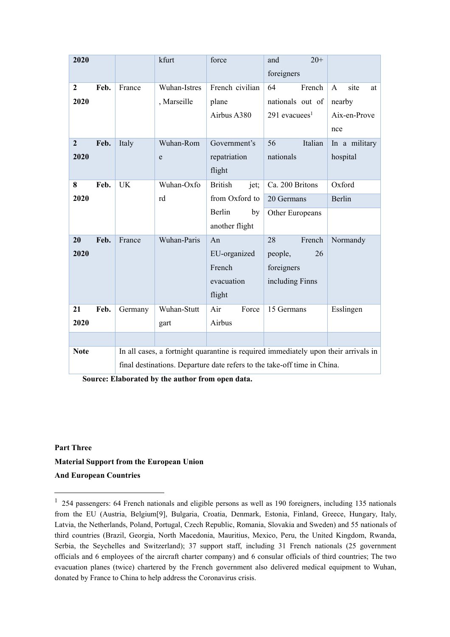| 2020           |      |                                                                                     | kfurt        | force                  | $20+$<br>and                |                            |  |  |
|----------------|------|-------------------------------------------------------------------------------------|--------------|------------------------|-----------------------------|----------------------------|--|--|
|                |      |                                                                                     |              |                        | foreigners                  |                            |  |  |
| $\mathbf{2}$   | Feb. | France                                                                              | Wuhan-Istres | French civilian        | French<br>64                | site<br>$\mathbf{A}$<br>at |  |  |
| 2020           |      |                                                                                     | , Marseille  | plane                  | nationals out of            | nearby                     |  |  |
|                |      |                                                                                     |              | Airbus A380            | $291$ evacuees <sup>1</sup> | Aix-en-Prove               |  |  |
|                |      |                                                                                     |              |                        |                             | nce                        |  |  |
| $\overline{2}$ | Feb. | Italy                                                                               | Wuhan-Rom    | Government's           | 56<br>Italian               | In a military              |  |  |
| 2020           |      |                                                                                     | ${\rm e}$    | repatriation           | nationals                   | hospital                   |  |  |
|                |      |                                                                                     |              | flight                 |                             |                            |  |  |
| 8              | Feb. | <b>UK</b>                                                                           | Wuhan-Oxfo   | <b>British</b><br>jet; | Ca. 200 Britons             | Oxford                     |  |  |
| 2020           |      |                                                                                     | rd           | from Oxford to         | 20 Germans                  | Berlin                     |  |  |
|                |      |                                                                                     |              | Berlin<br>by           | Other Europeans             |                            |  |  |
|                |      |                                                                                     |              | another flight         |                             |                            |  |  |
| 20             | Feb. | France                                                                              | Wuhan-Paris  | An                     | 28<br>French                | Normandy                   |  |  |
| 2020           |      |                                                                                     |              | EU-organized           | 26<br>people,               |                            |  |  |
|                |      |                                                                                     |              | French                 | foreigners                  |                            |  |  |
|                |      |                                                                                     |              | evacuation             | including Finns             |                            |  |  |
|                |      |                                                                                     |              | flight                 |                             |                            |  |  |
| 21             | Feb. | Germany                                                                             | Wuhan-Stutt  | Air<br>Force           | 15 Germans                  | Esslingen                  |  |  |
| 2020           |      |                                                                                     | gart         | Airbus                 |                             |                            |  |  |
|                |      |                                                                                     |              |                        |                             |                            |  |  |
| <b>Note</b>    |      | In all cases, a fortnight quarantine is required immediately upon their arrivals in |              |                        |                             |                            |  |  |
|                |      | final destinations. Departure date refers to the take-off time in China.            |              |                        |                             |                            |  |  |

**Source: Elaborated by the author from open data.**

## **Part Three Material Support from the European Union And European Countries**

<span id="page-12-0"></span><sup>1</sup> 254 passengers: 64 French nationals and eligible persons as well as 190 foreigners, including 135 nationals from the EU (Austria, Belgium[9], Bulgaria, Croatia, Denmark, Estonia, Finland, Greece, Hungary, Italy, Latvia, the Netherlands, Poland, Portugal, Czech Republic, Romania, Slovakia and Sweden) and 55 nationals of third countries (Brazil, Georgia, North Macedonia, Mauritius, Mexico, Peru, the United Kingdom, Rwanda, Serbia, the Seychelles and Switzerland); 37 support staff, including 31 French nationals (25 government officials and 6 employees of the aircraft charter company) and 6 consular officials of third countries; The two evacuation planes (twice) chartered by the French government also delivered medical equipment to Wuhan, donated by France to China to help address the Coronavirus crisis.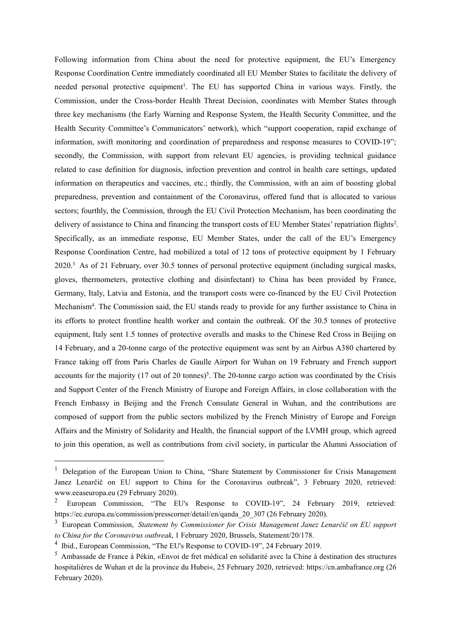Following information from China about the need for protective equipment, the EU's Emergency Response Coordination Centre immediately coordinated all EU Member States to facilitate the delivery of needed personal protective equipment<sup>[1](#page-13-0)</sup>. The EU has supported China in various ways. Firstly, the Commission, under the Cross-border Health Threat Decision, coordinates with Member States through three key mechanisms (the Early Warning and Response System, the Health Security Committee, and the Health Security Committee's Communicators' network), which "support cooperation, rapid exchange of information, swift monitoring and coordination of preparedness and response measures to COVID-19"; secondly, the Commission, with support from relevant EU agencies, is providing technical guidance related to case definition for diagnosis, infection prevention and control in health care settings, updated information on therapeutics and vaccines, etc.; thirdly, the Commission, with an aim of boosting global preparedness, prevention and containment of the Coronavirus, offered fund that is allocated to various sectors; fourthly, the Commission, through the EU Civil Protection Mechanism, has been coordinating the delivery of assistance to China and financing the transport costs of EU Member States' repatriation flights<sup>[2](#page-13-1)</sup>. . Specifically, as an immediate response, EU Member States, under the call of the EU's Emergency Response Coordination Centre, had mobilized a total of 12 tons of protective equipment by 1 February 2020.[3](#page-13-2) As of 21 February, over 30.5 tonnes of personal protective equipment (including surgical masks, gloves, thermometers, protective clothing and disinfectant) to China has been provided by France, Germany, Italy, Latvia and Estonia, and the transport costs were co-financed by the EU Civil Protection Mechanism[4](#page-13-3) . The Commission said, the EU stands ready to provide for any further assistance to China in its efforts to protect frontline health worker and contain the outbreak. Of the 30.5 tonnes of protective equipment, Italy sent 1.5 tonnes of protective overalls and masks to the Chinese Red Cross in Beijing on 14 February, and a 20-tonne cargo of the protective equipment was sent by an Airbus A380 chartered by France taking off from Paris Charles de Gaulle Airport for Wuhan on 19 February and French support accounts for the majority (17 out of 20 tonnes)<sup>[5](#page-13-4)</sup>. The 20-tonne cargo action was coordinated by the Crisis and Support Center of the French Ministry of Europe and Foreign Affairs, in close collaboration with the French Embassy in Beijing and the French Consulate General in Wuhan, and the contributions are composed of support from the public sectors mobilized by the French Ministry of Europe and Foreign Affairs and the Ministry of Solidarity and Health, the financial support of the LVMH group, which agreed to join this operation, as well as contributions from civil society, in particular the Alumni Association of

<span id="page-13-0"></span><sup>&</sup>lt;sup>1</sup> Delegation of the European Union to China, "Share Statement by Commissioner for Crisis Management Janez Lenarčič on EU support to China for the Coronavirus outbreak", 3 February 2020, retrieved: www.eeaseuropa.eu (29 February 2020).

<span id="page-13-1"></span><sup>2</sup> European Commission, "The EU's Response to COVID-19", 24 February 2019, retrieved: https://ec.europa.eu/commission/presscorner/detail/en/qanda\_20\_307 (26 February 2020).

<span id="page-13-2"></span><sup>&</sup>lt;sup>3</sup> European Commission, *Statement by Commissioner for Crisis Management Janez Lenarčič on EU support to China for the Coronavirus outbreak*, 1 February 2020, Brussels, Statement/20/178.

<span id="page-13-3"></span><sup>&</sup>lt;sup>4</sup> Ibid., European Commission, "The EU's Response to COVID-19", 24 February 2019.

<span id="page-13-4"></span> $<sup>5</sup>$  Ambassade de France à Pékin, «Envoi de fret médical en solidarité avec la Chine à destination des structures</sup> hospitalières de Wuhan et de la province du Hubei«, 25 February 2020, retrieved: https://cn.ambafrance.org (26 February 2020).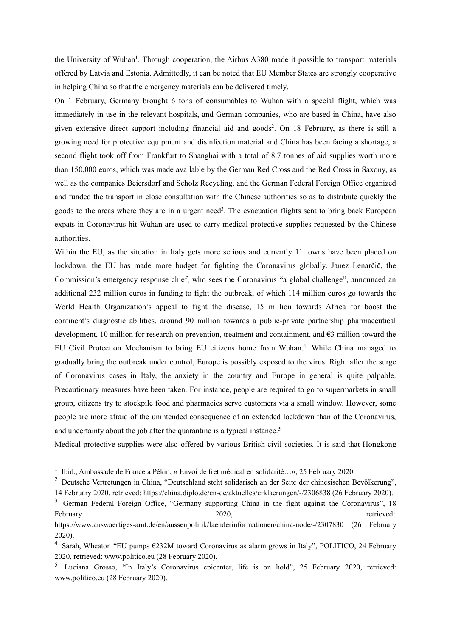the University of Wuhan [1](#page-14-0) . Through cooperation, the Airbus A380 made it possible to transport materials offered by Latvia and Estonia. Admittedly, it can be noted that EU Member Statesare strongly cooperative in helping China so that the emergency materials can be delivered timely.

On 1 February, Germany brought 6 tons of consumables to Wuhan with a special flight, which was immediately in use in the relevant hospitals, and German companies, who are based in China, have also given extensive direct support including financial aid and goods [2](#page-14-1) . On 18 February, as there is still a growing need for protective equipment and disinfection material and China has been facing a shortage, a second flight took off from Frankfurt to Shanghai with a total of 8.7 tonnes of aid supplies worth more than 150,000 euros, which was made available by the German Red Cross and the Red Cross in Saxony, as well as the companies Beiersdorf and Scholz Recycling, and the German Federal Foreign Office organized and funded the transport in close consultation with the Chinese authorities so as to distribute quickly the goods to the areas where they are in a urgent need [3](#page-14-2) . The evacuation flights sent to bring back European expats in Coronavirus-hit Wuhan are used to carry medical protective supplies requested by the Chinese authorities.

Within the EU, as the situation in Italy gets more serious and currently 11 towns have been placed on lockdown, the EU has made more budget for fighting the Coronavirus globally. Janez Lenarčič, the Commission's emergency response chief, who sees the Coronavirus "a global challenge", announced an additional 232 million euros in funding to fight the outbreak, of which 114 million euros go towards the World Health Organization's appeal to fight the disease, 15 million towards Africa for boost the continent's diagnostic abilities, around 90 million towards a public-private partnership pharmaceutical development, 10 million for research on prevention, treatment and containment, and €3 million toward the EU Civil Protection Mechanism to bring EU citizens home from Wuhan.[4](#page-14-3) While China managed to gradually bring the outbreak under control, Europe is possibly exposed to the virus. Right after the surge of Coronavirus cases in Italy, the anxiety in the country and Europe in general is quite palpable. Precautionary measures have been taken. For instance, people are required to go to supermarkets in small group, citizens try to stockpile food and pharmacies serve customers via a small window. However, some people are more afraid of the unintended consequence of an extended lockdown than ofthe Coronavirus, and uncertainty about the job after the quarantine is a typical instance.<sup>[5](#page-14-4)</sup>

Medical protective supplies were also offered by various British civil societies. It is said that Hongkong

<span id="page-14-0"></span><sup>&</sup>lt;sup>1</sup> Ibid., Ambassade de France à Pékin, « Envoi de fret médical en solidarité...», 25 February 2020.

<span id="page-14-1"></span><sup>2</sup> Deutsche Vertretungen in China, "Deutschland steht solidarisch an der Seite der chinesischen Bevölkerung", 14 February 2020, retrieved: https://china.diplo.de/cn-de/aktuelles/erklaerungen/-/2306838 (26 February 2020).

<span id="page-14-2"></span><sup>&</sup>lt;sup>3</sup> German Federal Foreign Office, "Germany supporting China in the fight against the Coronavirus", 18 February and the contract of the 2020, the contract of the contract of the contract of the contract of the contract of the contract of the contract of the contract of the contract of the contract of the contract of the con

https://www.auswaertiges-amt.de/en/aussenpolitik/laenderinformationen/china-node/-/2307830 (26 February 2020).

<span id="page-14-3"></span><sup>4</sup> Sarah, Wheaton "EU pumps €232M toward Coronavirus as alarm grows in Italy", POLITICO, 24 February 2020, retrieved: www.politico.eu (28 February 2020).

<span id="page-14-4"></span><sup>5</sup> Luciana Grosso, "In Italy's Coronavirus epicenter, life is on hold", 25 February 2020, retrieved: www.politico.eu (28 February 2020).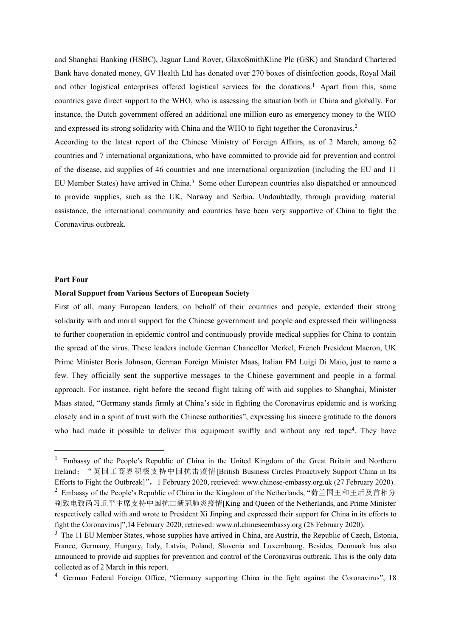and Shanghai Banking (HSBC), Jaguar Land Rover, GlaxoSmithKline Plc (GSK) and Standard Chartered Bank have donated money, GV Health Ltd has donated over 270 boxes of disinfection goods, Royal Mail and other logistical enterprises offered logistical services for the donations.<sup>[1](#page-15-0)</sup> Apart from this, some countries gave direct support to the WHO, who is assessing the situation both in China and globally. For instance, the Dutch government offered an additional one million euro as emergency money to the WHO and expressed its strong solidarity with China and the WHO to fight together the Coronavirus.[2](#page-15-1)

According to the latest report of the Chinese Ministry of Foreign Affairs, as of 2 March, among 62 countries and 7 international organizations, who have committed to provide aid for prevention and control of the disease, aid supplies of 46 countries and one international organization (including the EU and 11 EU Member States) have arrived in China.[3](#page-15-2) Some other European countries also dispatched or announced to provide supplies, such as the UK, Norway and Serbia. Undoubtedly, through providing material assistance, the international community and countries have been very supportive of China to fight the Coronavirus outbreak.

#### **Part Four**

#### **Moral Support from Various Sectors of European Society**

First of all, many European leaders, on behalf of their countries and people, extended their strong solidarity with and moral support for the Chinese government and people and expressed their willingness to further cooperation in epidemic control and continuously provide medical supplies for China to contain the spread of the virus. These leaders include German Chancellor Merkel, French President Macron, UK Prime Minister Boris Johnson, German Foreign Minister Maas, Italian FM Luigi Di Maio, just to name a few. They officially sent the supportive messages to the Chinese government and people in a formal approach. For instance, right before the second flight taking off with aid supplies to Shanghai, Minister Maas stated, "Germany stands firmly at China's side in fighting the Coronavirus epidemic and is working closely and in a spirit of trust with the Chinese authorities", expressing his sincere gratitude to the donors who had made it possible to deliver this equipment swiftly and without any red tape<sup>[4](#page-15-3)</sup>. They have

<span id="page-15-0"></span><sup>&</sup>lt;sup>1</sup> Embassy of the People's Republic of China in the United Kingdom of the Great Britain and Northern Ireland:"英国工商界积极支持中国抗击疫情[British Business Circles Proactively Support China in Its Efforts to Fight the Outbreak]", 1 February 2020, retrieved: www.chinese-embassy.org.uk (27 February 2020). <sup>2</sup> Embassy of the People's Republic of China in the Kingdom of the Netherlands, "荷兰国王和王后及首相分

<span id="page-15-1"></span>别致电致函习近平主席支持中国抗击新冠肺炎疫情[King and Queen of the Netherlands, and Prime Minister respectively called with and wrote to President Xi Jinping and expressed their support for China in its efforts to fight the Coronavirus]",14 February 2020, retrieved: www.nl.chineseembassy.org (28 February 2020).

<span id="page-15-2"></span><sup>&</sup>lt;sup>3</sup> The 11 EU Member States, whose supplies have arrived in China, are Austria, the Republic of Czech, Estonia, France, Germany, Hungary, Italy, Latvia, Poland, Slovenia and Luxembourg. Besides, Denmark has also announced to provide aid supplies for prevention and control of the Coronavirus outbreak. This is the only data collected as of 2 March in this report.

<span id="page-15-3"></span><sup>&</sup>lt;sup>4</sup> German Federal Foreign Office, "Germany supporting China in the fight against the Coronavirus", 18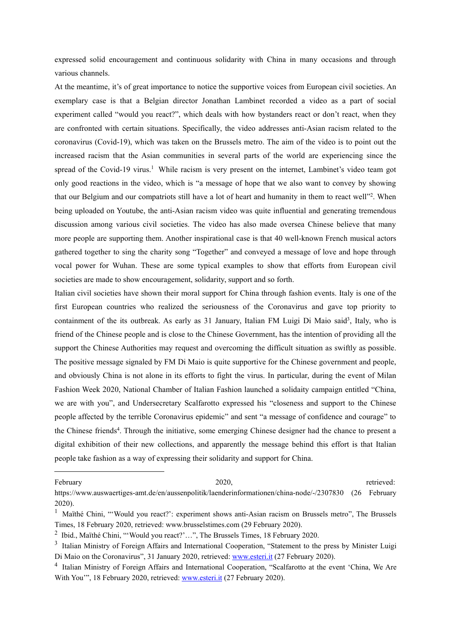expressed solid encouragement and continuous solidarity with China in many occasions and through various channels.

At the meantime, it's of great importance to notice the supportive voices from European civil societies. An exemplary case is that a Belgian director Jonathan Lambinet recorded a video as a part of social experiment called "would you react?", which deals with how bystanders react or don't react, when they are confronted with certain situations. Specifically, the video addresses anti-Asian racism related to the coronavirus (Covid-19), which was taken on the Brussels metro. The aim of the video is to point out the increased racism that the Asian communities in several parts of the world are experiencing since the spread of the Covid-[1](#page-16-0)9 virus.<sup>1</sup> While racism is very present on the internet, Lambinet's video team got only good reactions in the video, which is "a message of hope that we also want to convey by showing that our Belgium and our compatriots still have a lot of heart and humanity in them to react well" [2](#page-16-1) . When being uploaded on Youtube, the anti-Asian racism video was quite influential and generating tremendous discussion among various civil societies. The video has also made oversea Chinese believe that many more people are supporting them. Another inspirational case is that 40 well-known French musical actors gathered together to sing the charity song "Together" and conveyed a message of love and hope through vocal power for Wuhan. These are some typical examples to show that efforts from European civil societies are made to show encouragement, solidarity, support and so forth.

Italian civil societies have shown their moral support for China through fashion events. Italy is one of the first European countries who realized the seriousness of the Coronavirus and gave top priority to containment of the its outbreak. As early as [3](#page-16-2)1 January, Italian FM Luigi Di Maio said<sup>3</sup>, Italy, who is friend of the Chinese people and is close to the Chinese Government, has the intention of providing all the support the Chinese Authorities may request and overcoming the difficult situation as swiftly as possible. The positive message signaled by FM Di Maio is quite supportive for the Chinese government and people, and obviously China is not alone in its efforts to fight the virus. In particular, during the event of Milan Fashion Week 2020, National Chamber of Italian Fashion launched a solidaity campaign entitled "China, we are with you", and Undersecretary Scalfarotto expressed his "closeness and support to the Chinese people affected by the terrible Coronavirus epidemic" and sent "a message of confidence and courage" to the Chinese friends [4](#page-16-3) .Through the initiative, some emerging Chinese designer had the chance to present a digital exhibition of their new collections, and apparently the message behind this effort is that Italian people take fashion as a way of expressing their solidarity and support for China.

February and the contract of the 2020, the contract of the contract of the contract of the contract of the contract of the contract of the contract of the contract of the contract of the contract of the contract of the con

https://www.auswaertiges-amt.de/en/aussenpolitik/laenderinformationen/china-node/-/2307830 (26 February 2020).

<span id="page-16-0"></span><sup>&</sup>lt;sup>1</sup> Maïthé Chini, "Would you react?': experiment shows anti-Asian racism on Brussels metro", The Brussels Times, 18 February 2020, retrieved: www.brusselstimes.com (29 February 2020).

<span id="page-16-1"></span><sup>&</sup>lt;sup>2</sup> Ibid., Maïthé Chini, "'Would you react?'...", The Brussels Times, 18 February 2020.

<span id="page-16-2"></span><sup>&</sup>lt;sup>3</sup> Italian Ministry of Foreign Affairs and International Cooperation, "Statement to the press by Minister Luigi Di Maio on the Coronavirus", 31 January 2020, retrieved: [www.esteri.it](http://www.esteri.it) (27 February 2020).

<span id="page-16-3"></span><sup>&</sup>lt;sup>4</sup> Italian Ministry of Foreign Affairs and International Cooperation, "Scalfarotto at the event 'China, We Are With You", 18 February 2020, retrieved: [www.esteri.it](http://www.esteri.it) (27 February 2020).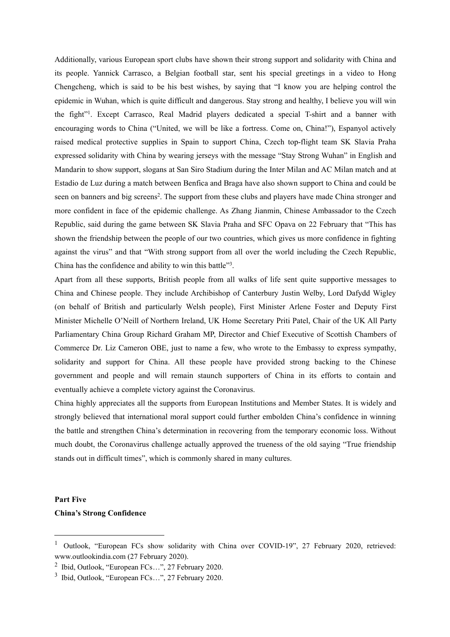Additionally, various European sport clubs have shown their strong support and solidarity with China and its people. Yannick Carrasco, a Belgian football star, sent his special greetings in a video to Hong Chengcheng, which is said to be his best wishes, by saying that "Iknow you are helping control the epidemic in Wuhan, which is quite difficult and dangerous. Stay strong and healthy, I believe you will win the fight". Except Carrasco, Real Madrid players dedicated a special T-shirt and a banner with encouraging words to China ("United, we will be like a fortress.Come on, China!"), Espanyol actively raised medical protective supplies in Spain to support China, Czech top-flight team SK Slavia Praha expressed solidarity with China by wearing jerseys with the message "Stay Strong Wuhan" in English and Mandarin to show support, slogans at San Siro Stadium during the Inter Milan and AC Milan match and at Estadio de Luz during a match between Benfica and Braga have also shown support to China and could be seen on banners and big screens [2](#page-17-1) . The support from these clubs and players have made China stronger and more confident in face of the epidemic challenge. As Zhang Jianmin, Chinese Ambassador to the Czech Republic, said during the game between SK Slavia Praha and SFC Opava on 22 February that "This has shown the friendship between the people of our two countries, which gives us more confidence in fighting against the virus" and that "With strong support from all over the world including the Czech Republic, China has the confidence and ability to win this battle<sup>[3](#page-17-2)3</sup>. .

Apart from all these supports, British people from all walks of life sent quite supportive messages to China and Chinese people. They include Archibishop of Canterbury Justin Welby, Lord Dafydd Wigley (on behalf of British and particularly Welsh people), First Minister Arlene Foster and Deputy First Minister Michelle O'Neill of Northern Ireland, UK Home Secretary Priti Patel, Chair of the UK All Party Parliamentary China Group Richard Graham MP, Director and Chief Executive of Scottish Chambers of Commerce Dr. Liz Cameron OBE, just to name a few, who wrote to the Embassy to express sympathy, solidarity and support for China. All these people have provided strong backing to the Chinese government and people and will remain staunch supporters of China in its efforts to contain and eventually achieve a complete victory against the Coronavirus.

China highly appreciates all the supports from European Institutions and Member States. It is widely and strongly believed that international moral support could further embolden China's confidence in winning the battle and strengthen China's determination in recovering from the temporary economic loss. Without much doubt, the Coronavirus challenge actually approved the trueness of the old saying "True friendship stands out in difficult times", which is commonly shared in many cultures.

#### **Part Five**

#### **China's Strong Confidence**

<span id="page-17-0"></span><sup>&</sup>lt;sup>1</sup> Outlook, "European FCs show solidarity with China over COVID-19", 27 February 2020, retrieved: www.outlookindia.com (27 February 2020).

<span id="page-17-1"></span><sup>2</sup> Ibid, Outlook, "European FCs…", 27 February 2020.

<span id="page-17-2"></span><sup>3</sup> Ibid, Outlook, "European FCs…", 27 February 2020.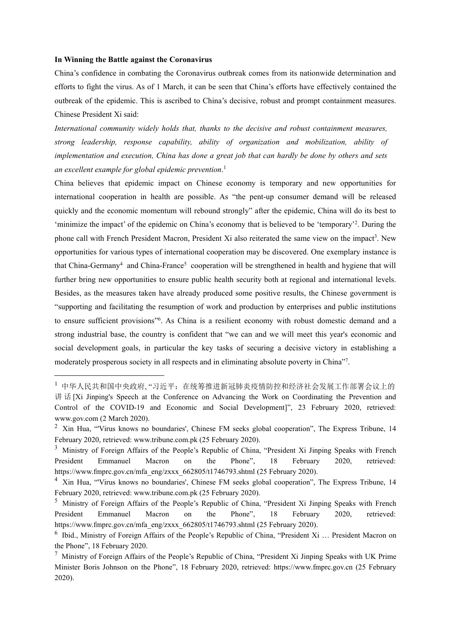#### **In Winning the Battle against the Coronavirus**

China's confidence in combating the Coronavirus outbreak comes from its nationwide determination and efforts to fight the virus. As of 1 March, it can be seen that China's efforts have effectively contained the outbreak of the epidemic. This is ascribed to China's decisive, robust and prompt containment measures. Chinese President Xi said:

*International community widely holds that, thanks to the decisive and robust containment measures, strong leadership, response capaility, aility of organization and moilization, aility of implementation and execution, China has done a great jo that can hardly e done y others and sets an excellent example for gloal epidemic preention*.[1](#page-18-0)

China believes that epidemic impact on Chinese economy is temporary and new opportunities for international cooperation in health are possible. As "the pent-up consumer demand will be released quickly and the economic momentum will rebound strongly" after the epidemic, China will do its best to 'minimize the impact' of the epidemic on China's economy that is believed to be 'temporary'<sup>[2](#page-18-1)</sup>. During the phone call with French President Macron, President Xi also reiterated the same view on the impact<sup>[3](#page-18-2)</sup>. New opportunities for various types ofinternational cooperation may be discovered. One exemplary instance is that China-Germany [4](#page-18-3) and China-France [5](#page-18-4) cooperation will be strengthened in health and hygiene that will further bring new opportunities to ensure public health security both at regional and international levels. Besides, as the measures taken have already produced some positive results, the Chinese government is "supporting and facilitating the resumption of work and production by enterprises and public institutions to ensure sufficient provisions" [6](#page-18-5) . As China is a resilient economy with robust domestic demand and a strong industrial base, the country is confident that "we can and we will meet this year's economic and social development goals, in particular the key tasks of securing a decisive victory in establishing a moderately prosperous society in all respects and in eliminating absolute poverty in China"<sup>[7](#page-18-6)</sup>.

<span id="page-18-0"></span><sup>1</sup> 中华人民共和国中央政府, "习近平:在统筹推进新冠肺炎疫情防控和经济社会发展工作部署会议上的 讲 话 [Xi Jinping's Speech at the Conference on Advancing the Work on Coordinating the Prevention and Control of the COVID-19 and Economic and Social Development]", 23 February 2020, retrieved: www.gov.com (2 March 2020).

<span id="page-18-1"></span><sup>&</sup>lt;sup>2</sup> Xin Hua, "Virus knows no boundaries', Chinese FM seeks global cooperation", The Express Tribune, 14 February 2020, retrieved: www.tribune.com.pk (25 February 2020).

<span id="page-18-2"></span><sup>&</sup>lt;sup>3</sup> Ministry of Foreign Affairs of the People's Republic of China, "President Xi Jinping Speaks with French President Emmanuel Macron on the Phone", 18 February 2020, retrieved: https://www.fmprc.gov.cn/mfa\_eng/zxxx\_662805/t1746793.shtml (25 February 2020).

<span id="page-18-3"></span><sup>4</sup> Xin Hua, "'Virus knows no boundaries', Chinese FM seeks global cooperation", The Express Tribune, 14 February 2020, retrieved: www.tribune.com.pk (25 February 2020).

<span id="page-18-4"></span><sup>5</sup> Ministry of Foreign Affairs of the People's Republic of China, "President Xi Jinping Speaks with French President Emmanuel Macron on the Phone", 18 February 2020, retrieved: https://www.fmprc.gov.cn/mfa\_eng/zxxx\_662805/t1746793.shtml (25 February 2020).

<span id="page-18-5"></span><sup>&</sup>lt;sup>6</sup> Ibid., Ministry of Foreign Affairs of the People's Republic of China, "President Xi ... President Macron on the Phone", 18 February 2020.

<span id="page-18-6"></span> $<sup>7</sup>$  Ministry of Foreign Affairs of the People's Republic of China, "President Xi Jinping Speaks with UK Prime</sup> Minister Boris Johnson on the Phone", 18 February 2020, retrieved: https://www.fmprc.gov.cn (25 February 2020).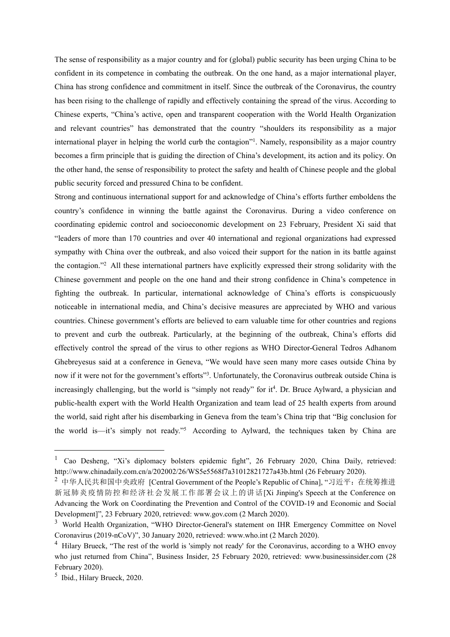The sense of responsibility as a major country and for(global) public security has been urging China to be confident in its competence in combating the outbreak. On the one hand, as a major international player, China has strong confidence and commitment in itself. Since the outbreak of the Coronavirus, the country has been rising to the challenge of rapidly and effectively containing the spread of the virus. According to Chinese experts, "China's active, open and transparent cooperation with the World Health Organization and relevant countries" has demonstrated that the country "shoulders its responsibility as a major international player in helping the world curb the contagion" [1](#page-19-0) . Namely, responsibility as a major country becomes a firm principle that is guiding the direction of China's development, its action and its policy. On the other hand, the sense of responsibility to protect the safety and health of Chinese people and the global public security forced and pressured China to be confident.

Strong and continuous international support for and acknowledge of China's efforts further emboldens the country's confidence in winning the battle against the Coronavirus. During a video conference on coordinating epidemic control and socioeconomic development on 23 February, President Xi said that "leaders of more than 170 countries and over 40 international and regional organizations had expressed sympathy with China over the outbreak, and also voiced their support for the nation in its battle against the contagion." [2](#page-19-1) All these international partners have explicitly expressed their strong solidarity with the Chinese government and people on the one hand and their strong confidence in China's competence in fighting the outbreak. In particular, international acknowledge of China's efforts is conspicuously noticeable in international media, and China's decisive measures are appreciated by WHO and various countries. Chinese government's efforts are believed to earn valuable time for other countries and regions to prevent and curb the outbreak. Particularly, at the beginning of the outbreak, China's efforts did effectively control the spread of the virus to other regions as WHO Director-General Tedros Adhanom Ghebreyesus said at a conference in Geneva, "We would have seen many more cases outside China by now if it were not for the government's efforts<sup>[3](#page-19-2)3</sup>. Unfortunately, the Coronavirus outbreak outside China is increasingly challenging, but the world is "simply not ready" for it<sup>[4](#page-19-3)</sup>. Dr. Bruce Aylward, a physician and public-health expert with the World Health Organization and team lead of 25 health experts from around the world, said right after his disembarking in Geneva from the team's China trip that "Big conclusion for the world is—it's simply not ready." [5](#page-19-4) According to Aylward, the techniques taken by China are

<span id="page-19-0"></span><sup>&</sup>lt;sup>1</sup> Cao Desheng, "Xi's diplomacy bolsters epidemic fight", 26 February 2020, China Daily, retrieved: http://www.chinadaily.com.cn/a/202002/26/WS5e5568f7a31012821727a43b.html (26 February 2020).

<span id="page-19-1"></span><sup>2</sup> 中华人民共和国中央政府 [Central Government of the People's Republic of China], "习近平:在统筹推进 新冠肺炎疫情防控和经济社会发展工作部署会议上的讲话[Xi Jinping's Speech at the Conference on Advancing the Work on Coordinating the Prevention and Control of the COVID-19 and Economic and Social Development]", 23 February 2020, retrieved: www.gov.com (2 March 2020).

<span id="page-19-2"></span><sup>&</sup>lt;sup>3</sup> World Health Organization, "WHO Director-General's statement on IHR Emergency Committee on Novel Coronavirus (2019-nCoV)", 30 January 2020, retrieved: www.who.int (2 March 2020).

<span id="page-19-3"></span><sup>&</sup>lt;sup>4</sup> Hilary Brueck, "The rest of the world is 'simply not ready' for the Coronavirus, according to a WHO envoy who just returned from China", Business Insider, 25 February 2020, retrieved: www.businessinsider.com (28 February 2020).

<span id="page-19-4"></span><sup>5</sup> Ibid., Hilary Brueck, 2020.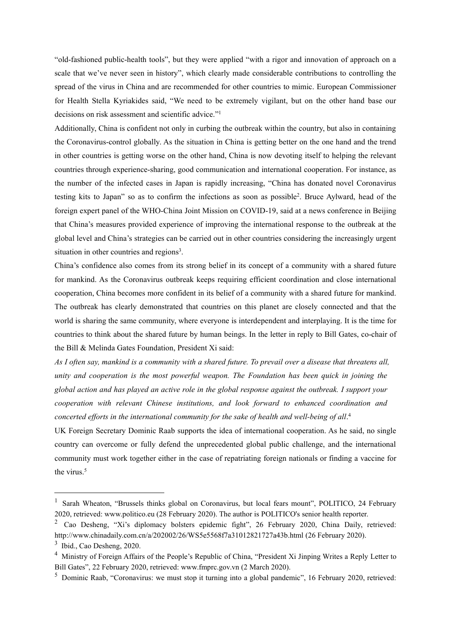"old-fashioned public-health tools", but they were applied "with a rigor and innovation of approach on a scale that we've never seen in history", which clearly made considerable contributions to controlling the spread of the virus in China and are recommended for other countries to mimic. European Commissioner for Health Stella Kyriakides said, "We need to be extremely vigilant, but on the other hand base our decisions on risk assessment and scientific advice."<sup>1</sup> [1](#page-20-0)

Additionally, China is confident not only in curbing the outbreak within the country, but also in containing the Coronavirus-control globally. As the situation in China is getting better on the one hand and the trend in other countries is getting worse on the other hand, China is now devoting itself to helping the relevant countries through experience-sharing, good communication and international cooperation. For instance, as the number of the infected cases in Japan is rapidly increasing,"China has donated novel Coronavirus testing kits to Japan" so as to confirm the infections as soon as possible [2](#page-20-1) . Bruce Aylward, head of the foreign expert panel of the WHO-China Joint Mission on COVID-19, said at a news conference in Beijing that China's measures provided experience of improving the international response to the outbreak at the global level and China's strategies can be carried out in other countries considering the increasingly urgent situation in other countries and regions [3](#page-20-2) .

China's confidence also comes from its strong belief in its concept of a community with a shared future for mankind. As the Coronavirus outbreak keeps requiring efficient coordination and close international cooperation, China becomes more confident in its belief of a community with a shared future for mankind. The outbreak has clearly demonstrated that countries on this planet are closely connected and that the world is sharing the same community, where everyone is interdependent and interplaying. It is the time for countries to think about the shared future by human beings. In the letter in reply to Bill Gates, co-chair of the Bill & Melinda Gates Foundation, President Xi said:

As I often say, mankind is a community with a shared future. To prevail over a disease that threatens all, *unity* and cooperation is the most powerful weapon. The Foundation has been quick in joining the global action and has played an active role in the global response against the outbreak. I support your  $c$  *cooperation* with *relevant* Chinese *institutions*, and look forward to enhanced coordination and *concerted efforts in the international community for the sake of health and well-being of all.<sup>[4](#page-20-3)</sup>* 

UK Foreign Secretary Dominic Raab supports the idea of international cooperation. As he said, no single country can overcome or fully defend the unprecedented global public challenge, and the international community must work together either in the case of repatriating foreign nationals or finding a vaccine for the virus.<sup>[5](#page-20-4)</sup>

<span id="page-20-0"></span><sup>&</sup>lt;sup>1</sup> Sarah Wheaton, "Brussels thinks global on Coronavirus, but local fears mount", POLITICO, 24 February 2020, retrieved: www.politico.eu (28 February 2020). The author is POLITICO's senior health reporter.

<span id="page-20-1"></span><sup>2</sup> Cao Desheng, "Xi's diplomacy bolsters epidemic fight", 26 February 2020, China Daily, retrieved: http://www.chinadaily.com.cn/a/202002/26/WS5e5568f7a31012821727a43b.html (26 February 2020).

<span id="page-20-2"></span><sup>3</sup> Ibid., Cao Desheng, 2020.

<span id="page-20-3"></span><sup>4</sup> Ministry of Foreign Affairs of the People's Republic of China, "President Xi Jinping Writes a Reply Letter to Bill Gates", 22 February 2020, retrieved: www.fmprc.gov.vn (2 March 2020).

<span id="page-20-4"></span><sup>5</sup> Dominic Raab, "Coronavirus: we must stop it turning into a global pandemic", 16 February 2020, retrieved: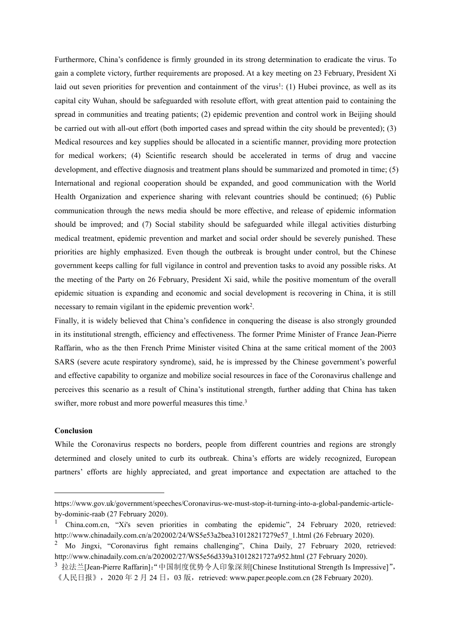Furthermore, China's confidence isfirmly grounded in its strong determination to eradicate the virus. To gain a complete victory, further requirements are proposed. At a key meeting on 23 February, President Xi laid out seven priorities for prevention and containment of the virus<sup>[1](#page-21-0)</sup>: (1) Hubei province, as well as its capital city Wuhan, should be safeguarded with resolute effort, with great attention paid to containing the spread in communities and treating patients; (2) epidemic prevention and control work in Beijing should be carried out with all-out effort (both imported cases and spread within the city should be prevented); (3) Medical resources and key supplies should be allocated in a scientific manner, providing more protection for medical workers; (4) Scientific research should be accelerated in terms of drug and vaccine development, and effective diagnosis and treatment plans should be summarized and promoted in time; (5) International and regional cooperation should be expanded, and good communication with the World Health Organization and experience sharing with relevant countries should be continued; (6) Public communication through the news media should be more effective, and release of epidemic information should be improved; and (7) Social stability should be safeguarded while illegal activities disturbing medical treatment, epidemic prevention and market and social order should be severely punished. These priorities are highly emphasized. Even though the outbreak is brought under control, but the Chinese government keeps calling for full vigilance in control and prevention tasks to avoid any possible risks. At the meeting of the Party on 26 February, President Xi said, while the positive momentum of the overall epidemic situation is expanding and economic and social development is recovering in China, it is still necessary to remain vigilant in the epidemic prevention work<sup>[2](#page-21-1)</sup>. .

Finally, it is widely believed that China's confidence in conquering the disease is also strongly grounded in its institutional strength, efficiency and effectiveness. The former Prime Minister of France Jean-Pierre Raffarin, who as the then French Prime Minister visited China at the same critical moment of the 2003 SARS (severe acute respiratory syndrome), said, he isimpressed by the Chinese government's powerful and effective capability to organize and mobilize social resources in face of the Coronavirus challenge and perceives this scenario as a result of China's institutional strength, further adding that China has taken swifter, more robust and more powerful measures this time.<sup>[3](#page-21-2)</sup>

### **Conclusion**

While the Coronavirus respects no borders, people from different countries and regions are strongly determined and closely united to curb its outbreak. China's efforts are widely recognized, European partners' efforts are highly appreciated, and great importance and expectation are attached to the

https://www.gov.uk/government/speeches/Coronavirus-we-must-stop-it-turning-into-a-global-pandemic-article by-dominic-raab (27 February 2020).

<span id="page-21-0"></span><sup>&</sup>lt;sup>1</sup> China.com.cn, "Xi's seven priorities in combating the epidemic", 24 February 2020, retrieved: http://www.chinadaily.com.cn/a/202002/24/WS5e53a2bea310128217279e57\_1.html (26 February 2020).

<span id="page-21-1"></span><sup>&</sup>lt;sup>2</sup> Mo Jingxi, "Coronavirus fight remains challenging", China Daily, 27 February 2020, retrieved: http://www.chinadaily.com.cn/a/202002/27/WS5e56d339a31012821727a952.html (27 February 2020).

<span id="page-21-2"></span><sup>3</sup> 拉法兰[Jean-Pierre Raffarin]:"中国制度优势令人印象深刻[Chinese Institutional Strength Is Impressive]", 《人民日报》,2020 年 2 月 24 日, 03 版, retrieved: www.paper.people.com.cn (28 February 2020).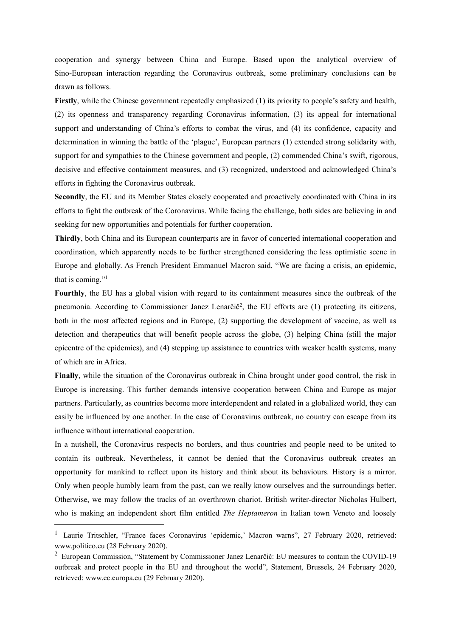cooperation and synergy between China and Europe. Based upon the analytical overview of Sino-European interaction regarding the Coronavirus outbreak, some preliminary conclusions can be drawn as follows.

**Firstly**, while the Chinese government repeatedly emphasized (1) its priority to people's safety and health, (2) its openness and transparency regarding Coronavirus information, (3) its appeal for international support and understanding of China's efforts to combat the virus, and (4) its confidence, capacity and determination in winning the battle of the 'plague', European partners (1) extended strong solidarity with, support for and sympathies to the Chinese government and people, (2) commended China's swift, rigorous, decisive and effective containment measures, and (3) recognized, understood and acknowledged China's efforts in fighting the Coronavirus outbreak.

**Secondly**, the EU and its Member States closely cooperated and proactively coordinated with China in its efforts to fight the outbreak of the Coronavirus. While facing the challenge, both sides are believing in and seeking for new opportunities and potentials for further cooperation.

**Thirdly**, both China and its European counterparts are in favor of concerted international cooperation and coordination, which apparently needs to be further strengthened considering the less optimistic scene in Europe and globally. As French President Emmanuel Macron said, "We are facing a crisis, an epidemic, that is coming." [1](#page-22-0)

**Fourthly**, the EU has a global vision with regard to its containment measures since the outbreak of the pneumonia. According to Commissioner Janez Lenarčič [2](#page-22-1) , the EU efforts are (1) protecting its citizens, both in the most affected regions and in Europe,(2) supporting the development of vaccine, as well as detection and therapeutics that will benefit people across the globe, (3) helping China (still the major epicentre of the epidemics), and (4) stepping up assistance to countries with weaker health systems, many of which are in Africa.

**Finally**, while the situation of the Coronavirus outbreak in China brought under good control, the risk in Europe is increasing. This further demands intensive cooperation between China and Europe as major partners. Particularly, as countries become more interdependent and related in a globalized world, they can easily be influenced by one another. In the case of Coronavirus outbreak, no country can escape from its influence without international cooperation.

In a nutshell, the Coronavirus respects no borders, and thus countries and people need to be united to contain its outbreak. Nevertheless, it cannot be denied that the Coronavirus outbreak creates an opportunity for mankind to reflectupon its history and think about its behaviours. History is a mirror. Only when people humbly learn from the past, can we really know ourselves and the surroundings better. Otherwise, we may follow the tracks of an overthrown chariot. British writer-director Nicholas Hulbert, who is making an independent short film entitled *The Heptameron* in Italian town Veneto and loosely

<span id="page-22-0"></span><sup>&</sup>lt;sup>1</sup> Laurie Tritschler, "France faces Coronavirus 'epidemic,' Macron warns", 27 February 2020, retrieved: www.politico.eu (28 February 2020).

<span id="page-22-1"></span><sup>&</sup>lt;sup>2</sup> European Commission, "Statement by Commissioner Janez Lenarčič: EU measures to contain the COVID-19 outbreak and protect people in the EU and throughout the world", Statement, Brussels, 24 February 2020, retrieved: www.ec.europa.eu (29 February 2020).